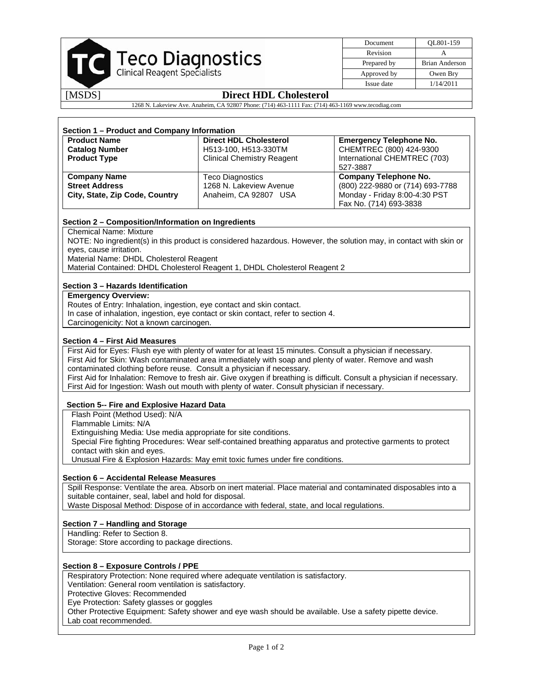| <b>Teco Diagnostics</b><br>Clinical Reagent Specialists |
|---------------------------------------------------------|
|                                                         |

| Document    | OL801-159      |
|-------------|----------------|
| Revision    |                |
| Prepared by | Brian Anderson |
| Approved by | Owen Bry       |
| Issue date  | 1/14/2011      |

# [MSDS] **Direct HDL Cholesterol**

1268 N. Lakeview Ave. Anaheim, CA 92807 Phone: (714) 463-1111 Fax: (714) 463-1169 www.tecodiag.com

|                                                                                                                                   | Section 1 - Product and Company Information |                                                                                                                         |  |  |  |  |  |
|-----------------------------------------------------------------------------------------------------------------------------------|---------------------------------------------|-------------------------------------------------------------------------------------------------------------------------|--|--|--|--|--|
| <b>Product Name</b>                                                                                                               | <b>Direct HDL Cholesterol</b>               | <b>Emergency Telephone No.</b>                                                                                          |  |  |  |  |  |
| <b>Catalog Number</b>                                                                                                             | H513-100, H513-330TM                        | CHEMTREC (800) 424-9300                                                                                                 |  |  |  |  |  |
| <b>Product Type</b>                                                                                                               | <b>Clinical Chemistry Reagent</b>           | International CHEMTREC (703)<br>527-3887                                                                                |  |  |  |  |  |
| <b>Company Name</b>                                                                                                               | <b>Teco Diagnostics</b>                     | <b>Company Telephone No.</b>                                                                                            |  |  |  |  |  |
| <b>Street Address</b>                                                                                                             | 1268 N. Lakeview Avenue                     | (800) 222-9880 or (714) 693-7788                                                                                        |  |  |  |  |  |
| City, State, Zip Code, Country                                                                                                    | Anaheim, CA 92807 USA                       | Monday - Friday 8:00-4:30 PST                                                                                           |  |  |  |  |  |
|                                                                                                                                   |                                             | Fax No. (714) 693-3838                                                                                                  |  |  |  |  |  |
| Section 2 - Composition/Information on Ingredients                                                                                |                                             |                                                                                                                         |  |  |  |  |  |
| <b>Chemical Name: Mixture</b>                                                                                                     |                                             |                                                                                                                         |  |  |  |  |  |
|                                                                                                                                   |                                             | NOTE: No ingredient(s) in this product is considered hazardous. However, the solution may, in contact with skin or      |  |  |  |  |  |
| eyes, cause irritation.                                                                                                           |                                             |                                                                                                                         |  |  |  |  |  |
| Material Name: DHDL Cholesterol Reagent                                                                                           |                                             |                                                                                                                         |  |  |  |  |  |
| Material Contained: DHDL Cholesterol Reagent 1, DHDL Cholesterol Reagent 2                                                        |                                             |                                                                                                                         |  |  |  |  |  |
| Section 3 - Hazards Identification                                                                                                |                                             |                                                                                                                         |  |  |  |  |  |
| <b>Emergency Overview:</b>                                                                                                        |                                             |                                                                                                                         |  |  |  |  |  |
| Routes of Entry: Inhalation, ingestion, eye contact and skin contact.                                                             |                                             |                                                                                                                         |  |  |  |  |  |
| In case of inhalation, ingestion, eye contact or skin contact, refer to section 4.<br>Carcinogenicity: Not a known carcinogen.    |                                             |                                                                                                                         |  |  |  |  |  |
|                                                                                                                                   |                                             |                                                                                                                         |  |  |  |  |  |
| Section 4 - First Aid Measures                                                                                                    |                                             |                                                                                                                         |  |  |  |  |  |
| First Aid for Eyes: Flush eye with plenty of water for at least 15 minutes. Consult a physician if necessary.                     |                                             |                                                                                                                         |  |  |  |  |  |
| First Aid for Skin: Wash contaminated area immediately with soap and plenty of water. Remove and wash                             |                                             |                                                                                                                         |  |  |  |  |  |
| contaminated clothing before reuse. Consult a physician if necessary.                                                             |                                             |                                                                                                                         |  |  |  |  |  |
|                                                                                                                                   |                                             | First Aid for Inhalation: Remove to fresh air. Give oxygen if breathing is difficult. Consult a physician if necessary. |  |  |  |  |  |
| First Aid for Ingestion: Wash out mouth with plenty of water. Consult physician if necessary.                                     |                                             |                                                                                                                         |  |  |  |  |  |
|                                                                                                                                   |                                             |                                                                                                                         |  |  |  |  |  |
|                                                                                                                                   |                                             |                                                                                                                         |  |  |  |  |  |
| Section 5-- Fire and Explosive Hazard Data                                                                                        |                                             |                                                                                                                         |  |  |  |  |  |
| Flash Point (Method Used): N/A<br>Flammable Limits: N/A                                                                           |                                             |                                                                                                                         |  |  |  |  |  |
|                                                                                                                                   |                                             |                                                                                                                         |  |  |  |  |  |
| Extinguishing Media: Use media appropriate for site conditions.                                                                   |                                             |                                                                                                                         |  |  |  |  |  |
|                                                                                                                                   |                                             | Special Fire fighting Procedures: Wear self-contained breathing apparatus and protective garments to protect            |  |  |  |  |  |
| contact with skin and eyes.<br>Unusual Fire & Explosion Hazards: May emit toxic fumes under fire conditions.                      |                                             |                                                                                                                         |  |  |  |  |  |
|                                                                                                                                   |                                             |                                                                                                                         |  |  |  |  |  |
| Section 6 - Accidental Release Measures                                                                                           |                                             | Spill Response: Ventilate the area. Absorb on inert material. Place material and contaminated disposables into a        |  |  |  |  |  |
| suitable container, seal, label and hold for disposal.                                                                            |                                             |                                                                                                                         |  |  |  |  |  |
| Waste Disposal Method: Dispose of in accordance with federal, state, and local regulations.                                       |                                             |                                                                                                                         |  |  |  |  |  |
|                                                                                                                                   |                                             |                                                                                                                         |  |  |  |  |  |
| Handling: Refer to Section 8.                                                                                                     |                                             |                                                                                                                         |  |  |  |  |  |
| Section 7 - Handling and Storage<br>Storage: Store according to package directions.                                               |                                             |                                                                                                                         |  |  |  |  |  |
|                                                                                                                                   |                                             |                                                                                                                         |  |  |  |  |  |
|                                                                                                                                   |                                             |                                                                                                                         |  |  |  |  |  |
| Respiratory Protection: None required where adequate ventilation is satisfactory.                                                 |                                             |                                                                                                                         |  |  |  |  |  |
| <b>Section 8 - Exposure Controls / PPE</b><br>Ventilation: General room ventilation is satisfactory.                              |                                             |                                                                                                                         |  |  |  |  |  |
| Protective Gloves: Recommended                                                                                                    |                                             |                                                                                                                         |  |  |  |  |  |
| Eye Protection: Safety glasses or goggles                                                                                         |                                             |                                                                                                                         |  |  |  |  |  |
| Other Protective Equipment: Safety shower and eye wash should be available. Use a safety pipette device.<br>Lab coat recommended. |                                             |                                                                                                                         |  |  |  |  |  |